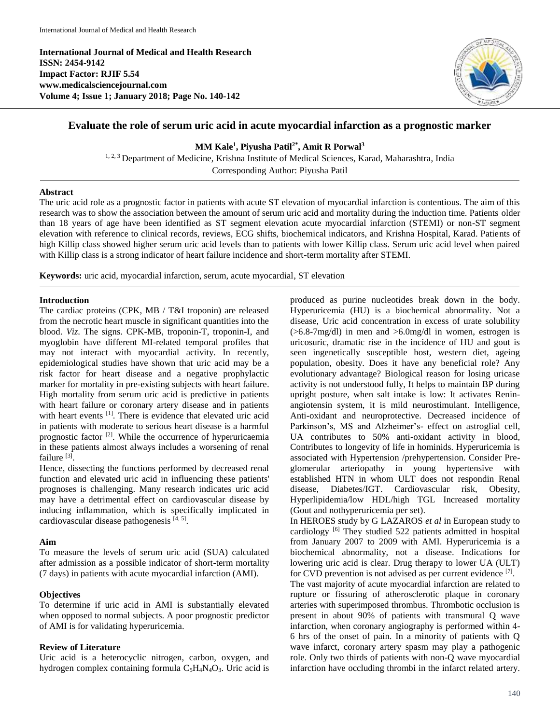**International Journal of Medical and Health Research ISSN: 2454-9142 Impact Factor: RJIF 5.54 www.medicalsciencejournal.com Volume 4; Issue 1; January 2018; Page No. 140-142**



# **Evaluate the role of serum uric acid in acute myocardial infarction as a prognostic marker**

**MM Kale<sup>1</sup> , Piyusha Patil2\* , Amit R Porwal<sup>3</sup>**

<sup>1, 2, 3</sup> Department of Medicine, Krishna Institute of Medical Sciences, Karad, Maharashtra, India Corresponding Author: Piyusha Patil

## **Abstract**

The uric acid role as a prognostic factor in patients with acute ST elevation of myocardial infarction is contentious. The aim of this research was to show the association between the amount of serum uric acid and mortality during the induction time. Patients older than 18 years of age have been identified as ST segment elevation acute myocardial infarction (STEMI) or non-ST segment elevation with reference to clinical records, reviews, ECG shifts, biochemical indicators, and Krishna Hospital, Karad. Patients of high Killip class showed higher serum uric acid levels than to patients with lower Killip class. Serum uric acid level when paired with Killip class is a strong indicator of heart failure incidence and short-term mortality after STEMI.

**Keywords:** uric acid, myocardial infarction, serum, acute myocardial, ST elevation

## **Introduction**

The cardiac proteins (CPK, MB / T&I troponin) are released from the necrotic heart muscle in significant quantities into the blood. *Viz*. The signs. CPK-MB, troponin-T, troponin-I, and myoglobin have different MI-related temporal profiles that may not interact with myocardial activity. In recently, epidemiological studies have shown that uric acid may be a risk factor for heart disease and a negative prophylactic marker for mortality in pre-existing subjects with heart failure. High mortality from serum uric acid is predictive in patients with heart failure or coronary artery disease and in patients with heart events [1]. There is evidence that elevated uric acid in patients with moderate to serious heart disease is a harmful prognostic factor<sup>[2]</sup>. While the occurrence of hyperuricaemia in these patients almost always includes a worsening of renal failure [3].

Hence, dissecting the functions performed by decreased renal function and elevated uric acid in influencing these patients' prognoses is challenging. Many research indicates uric acid may have a detrimental effect on cardiovascular disease by inducing inflammation, which is specifically implicated in cardiovascular disease pathogenesis [4, 5].

# **Aim**

To measure the levels of serum uric acid (SUA) calculated after admission as a possible indicator of short-term mortality (7 days) in patients with acute myocardial infarction (AMI).

# **Objectives**

To determine if uric acid in AMI is substantially elevated when opposed to normal subjects. A poor prognostic predictor of AMI is for validating hyperuricemia.

# **Review of Literature**

Uric acid is a heterocyclic nitrogen, carbon, oxygen, and hydrogen complex containing formula  $C_5H_4N_4O_3$ . Uric acid is produced as purine nucleotides break down in the body. Hyperuricemia (HU) is a biochemical abnormality. Not a disease, Uric acid concentration in excess of urate solubility (>6.8-7mg/dl) in men and >6.0mg/dl in women, estrogen is uricosuric, dramatic rise in the incidence of HU and gout is seen ingenetically susceptible host, western diet, ageing population, obesity. Does it have any beneficial role? Any evolutionary advantage? Biological reason for losing uricase activity is not understood fully, It helps to maintain BP during upright posture, when salt intake is low: It activates Reninangiotensin system, it is mild neurostimulant. Intelligence, Anti-oxidant and neuroprotective. Decreased incidence of Parkinson's, MS and Alzheimer's- effect on astroglial cell, UA contributes to 50% anti-oxidant activity in blood, Contributes to longevity of life in hominids. Hyperuricemia is associated with Hypertension /prehypertension. Consider Preglomerular arteriopathy in young hypertensive with established HTN in whom ULT does not respondin Renal disease, Diabetes/IGT. Cardiovascular risk, Obesity, Hyperlipidemia/low HDL/high TGL Increased mortality (Gout and nothyperuricemia per set).

In HEROES study by G LAZAROS *et al* in European study to cardiology [6] They studied 522 patients admitted in hospital from January 2007 to 2009 with AMI. Hyperuricemia is a biochemical abnormality, not a disease. Indications for lowering uric acid is clear. Drug therapy to lower UA (ULT) for CVD prevention is not advised as per current evidence [7].

The vast majority of acute myocardial infarction are related to rupture or fissuring of atherosclerotic plaque in coronary arteries with superimposed thrombus. Thrombotic occlusion is present in about 90% of patients with transmural Q wave infarction, when coronary angiography is performed within 4- 6 hrs of the onset of pain. In a minority of patients with Q wave infarct, coronary artery spasm may play a pathogenic role. Only two thirds of patients with non-Q wave myocardial infarction have occluding thrombi in the infarct related artery.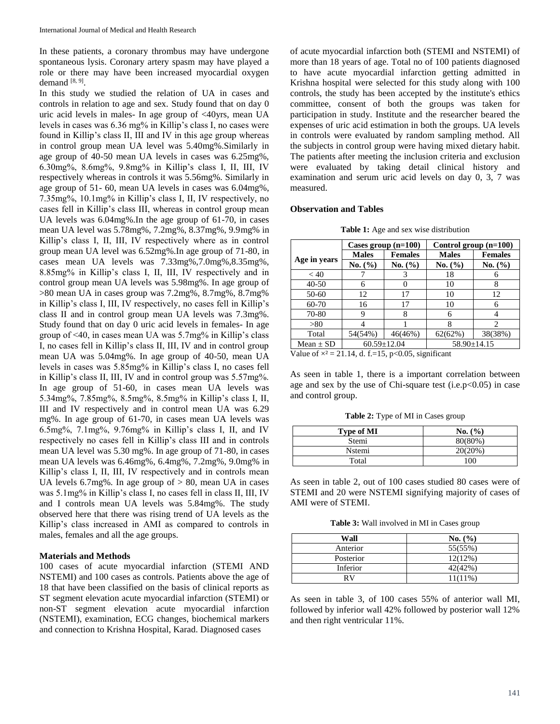In these patients, a coronary thrombus may have undergone spontaneous lysis. Coronary artery spasm may have played a role or there may have been increased myocardial oxygen demand  $[8, 9]$ .

In this study we studied the relation of UA in cases and controls in relation to age and sex. Study found that on day 0 uric acid levels in males- In age group of <40yrs, mean UA levels in cases was 6.36 mg% in Killip's class I, no cases were found in Killip's class II, III and IV in this age group whereas in control group mean UA level was 5.40mg%.Similarly in age group of 40-50 mean UA levels in cases was 6.25mg%, 6.30mg%, 8.6mg%, 9.8mg% in Killip's class I, II, III, IV respectively whereas in controls it was 5.56mg%. Similarly in age group of 51- 60, mean UA levels in cases was 6.04mg%, 7.35mg%, 10.1mg% in Killip's class I, II, IV respectively, no cases fell in Killip's class III, whereas in control group mean UA levels was 6.04mg%.In the age group of 61-70, in cases mean UA level was 5.78mg%, 7.2mg%, 8.37mg%, 9.9mg% in Killip's class I, II, III, IV respectively where as in control group mean UA level was 6.52mg%.In age group of 71-80, in cases mean UA levels was 7.33mg%,7.0mg%,8.35mg%, 8.85mg% in Killip's class I, II, III, IV respectively and in control group mean UA levels was 5.98mg%. In age group of >80 mean UA in cases group was 7.2mg%, 8.7mg%, 8.7mg% in Killip's class I, III, IV respectively, no cases fell in Killip's class II and in control group mean UA levels was 7.3mg%. Study found that on day 0 uric acid levels in females- In age group of <40, in cases mean UA was 5.7mg% in Killip's class I, no cases fell in Killip's class II, III, IV and in control group mean UA was 5.04mg%. In age group of 40-50, mean UA levels in cases was 5.85mg% in Killip's class I, no cases fell in Killip's class II, III, IV and in control group was 5.57mg%. In age group of 51-60, in cases mean UA levels was 5.34mg%, 7.85mg%, 8.5mg%, 8.5mg% in Killip's class I, II, III and IV respectively and in control mean UA was 6.29 mg%. In age group of 61-70, in cases mean UA levels was 6.5mg%, 7.1mg%, 9.76mg% in Killip's class I, II, and IV respectively no cases fell in Killip's class III and in controls mean UA level was 5.30 mg%. In age group of 71-80, in cases mean UA levels was 6.46mg%, 6.4mg%, 7.2mg%, 9.0mg% in Killip's class I, II, III, IV respectively and in controls mean UA levels  $6.7mg\%$ . In age group of  $> 80$ , mean UA in cases was 5.1mg% in Killip's class I, no cases fell in class II, III, IV and I controls mean UA levels was 5.84mg%. The study observed here that there was rising trend of UA levels as the Killip's class increased in AMI as compared to controls in males, females and all the age groups.

#### **Materials and Methods**

100 cases of acute myocardial infarction (STEMI AND NSTEMI) and 100 cases as controls. Patients above the age of 18 that have been classified on the basis of clinical reports as ST segment elevation acute myocardial infarction (STEMI) or non-ST segment elevation acute myocardial infarction (NSTEMI), examination, ECG changes, biochemical markers and connection to Krishna Hospital, Karad. Diagnosed cases

of acute myocardial infarction both (STEMI and NSTEMI) of more than 18 years of age. Total no of 100 patients diagnosed to have acute myocardial infarction getting admitted in Krishna hospital were selected for this study along with 100 controls, the study has been accepted by the institute's ethics committee, consent of both the groups was taken for participation in study. Institute and the researcher beared the expenses of uric acid estimation in both the groups. UA levels in controls were evaluated by random sampling method. All the subjects in control group were having mixed dietary habit. The patients after meeting the inclusion criteria and exclusion were evaluated by taking detail clinical history and examination and serum uric acid levels on day 0, 3, 7 was measured.

#### **Observation and Tables**

| <b>Table 1:</b> Age and sex wise distribution |
|-----------------------------------------------|
|-----------------------------------------------|

|                                                                                                                                                                                                                                                                                                                                                             | Cases group $(n=100)$          |             | Control group $(n=100)$ |                |  |
|-------------------------------------------------------------------------------------------------------------------------------------------------------------------------------------------------------------------------------------------------------------------------------------------------------------------------------------------------------------|--------------------------------|-------------|-------------------------|----------------|--|
|                                                                                                                                                                                                                                                                                                                                                             | <b>Males</b><br><b>Females</b> |             | <b>Males</b>            | <b>Females</b> |  |
| Age in years                                                                                                                                                                                                                                                                                                                                                | No. (%)                        | No. $(\% )$ | No. (%)                 | No. (%)        |  |
| < 40                                                                                                                                                                                                                                                                                                                                                        |                                |             | 18                      |                |  |
| $40 - 50$                                                                                                                                                                                                                                                                                                                                                   | 6                              |             | 10                      | 8              |  |
| 50-60                                                                                                                                                                                                                                                                                                                                                       | 12                             | 17          | 10                      | 12             |  |
| 60-70                                                                                                                                                                                                                                                                                                                                                       | 16                             | 17          | 10                      | 6              |  |
| 70-80                                                                                                                                                                                                                                                                                                                                                       |                                |             | 6                       |                |  |
| > 80                                                                                                                                                                                                                                                                                                                                                        |                                |             | 8                       | 2              |  |
| Total                                                                                                                                                                                                                                                                                                                                                       | 54(54%)                        | 46(46%)     | 62(62%)                 | 38(38%)        |  |
| Mean $\pm$ SD                                                                                                                                                                                                                                                                                                                                               | $60.59 \pm 12.04$              |             | $58.90 \pm 14.15$       |                |  |
| $\mathbf{r}$ $\mathbf{r}$ $\mathbf{r}$ $\mathbf{r}$ $\mathbf{r}$ $\mathbf{r}$ $\mathbf{r}$ $\mathbf{r}$ $\mathbf{r}$ $\mathbf{r}$ $\mathbf{r}$ $\mathbf{r}$ $\mathbf{r}$ $\mathbf{r}$ $\mathbf{r}$ $\mathbf{r}$ $\mathbf{r}$ $\mathbf{r}$ $\mathbf{r}$ $\mathbf{r}$ $\mathbf{r}$ $\mathbf{r}$ $\mathbf{r}$ $\mathbf{r}$ $\mathbf{$<br>$21111$ $2007$ $2007$ |                                |             |                         |                |  |

Value of  $\times^2$  = 21.14, d. f.=15, p<0.05, significant

As seen in table 1, there is a important correlation between age and sex by the use of Chi-square test (i.e.p $<0.05$ ) in case and control group.

**Table 2:** Type of MI in Cases group

| <b>Type of MI</b> | No. (%) |  |  |
|-------------------|---------|--|--|
| Stemi             | 80(80%) |  |  |
| Nstemi            | 20(20%) |  |  |
| Total             | 100     |  |  |

As seen in table 2, out of 100 cases studied 80 cases were of STEMI and 20 were NSTEMI signifying majority of cases of AMI were of STEMI.

**Table 3:** Wall involved in MI in Cases group

| Wall      | No. (%)    |
|-----------|------------|
| Anterior  | 55(55%)    |
| Posterior | 12(12%)    |
| Inferior  | 42(42%)    |
| RV        | $11(11\%)$ |

As seen in table 3, of 100 cases 55% of anterior wall MI, followed by inferior wall 42% followed by posterior wall 12% and then right ventricular 11%.